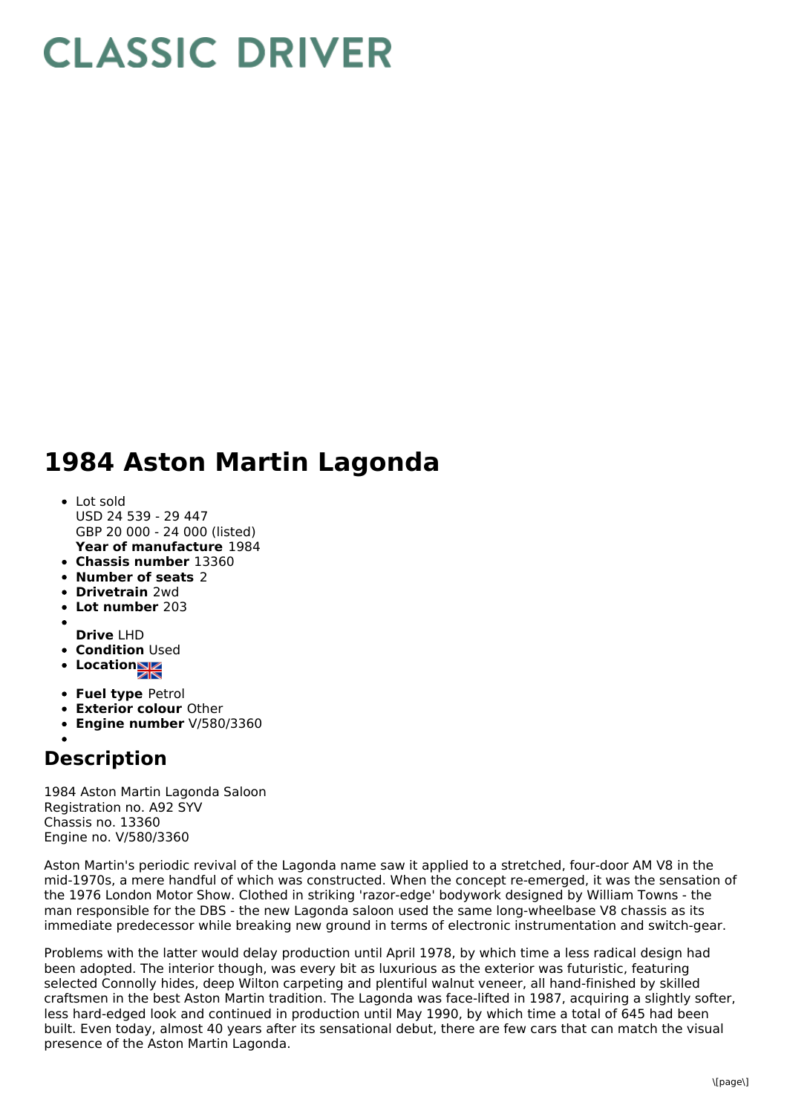## **CLASSIC DRIVER**

## **1984 Aston Martin Lagonda**

- **Year of manufacture** 1984 Lot sold USD 24 539 - 29 447 GBP 20 000 - 24 000 (listed)
- **Chassis number** 13360
- **Number of seats** 2
- **Drivetrain** 2wd
- **Lot number** 203
- **Drive** LHD
- **Condition** Used
- Location<sub>al</sub>
- 
- **Fuel type** Petrol
- **Exterior colour** Other
- **Engine number** V/580/3360

## **Description**

1984 Aston Martin Lagonda Saloon Registration no. A92 SYV Chassis no. 13360 Engine no. V/580/3360

Aston Martin's periodic revival of the Lagonda name saw it applied to a stretched, four-door AM V8 in the mid-1970s, a mere handful of which was constructed. When the concept re-emerged, it was the sensation of the 1976 London Motor Show. Clothed in striking 'razor-edge' bodywork designed by William Towns - the man responsible for the DBS - the new Lagonda saloon used the same long-wheelbase V8 chassis as its immediate predecessor while breaking new ground in terms of electronic instrumentation and switch-gear.

Problems with the latter would delay production until April 1978, by which time a less radical design had been adopted. The interior though, was every bit as luxurious as the exterior was futuristic, featuring selected Connolly hides, deep Wilton carpeting and plentiful walnut veneer, all hand-finished by skilled craftsmen in the best Aston Martin tradition. The Lagonda was face-lifted in 1987, acquiring a slightly softer, less hard-edged look and continued in production until May 1990, by which time a total of 645 had been built. Even today, almost 40 years after its sensational debut, there are few cars that can match the visual presence of the Aston Martin Lagonda.